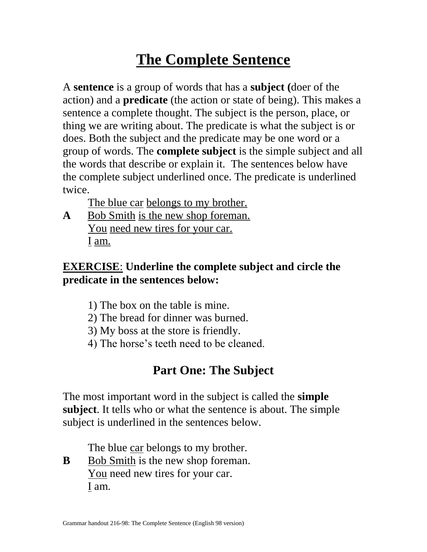# **The Complete Sentence**

A **sentence** is a group of words that has a **subject (**doer of the action) and a **predicate** (the action or state of being). This makes a sentence a complete thought. The subject is the person, place, or thing we are writing about. The predicate is what the subject is or does. Both the subject and the predicate may be one word or a group of words. The **complete subject** is the simple subject and all the words that describe or explain it. The sentences below have the complete subject underlined once. The predicate is underlined twice.

The blue car belongs to my brother.

**A** Bob Smith is the new shop foreman. You need new tires for your car. I am.

### **EXERCISE**: **Underline the complete subject and circle the predicate in the sentences below:**

- 1) The box on the table is mine.
- 2) The bread for dinner was burned.
- 3) My boss at the store is friendly.
- 4) The horse's teeth need to be cleaned.

# **Part One: The Subject**

The most important word in the subject is called the **simple subject**. It tells who or what the sentence is about. The simple subject is underlined in the sentences below.

The blue car belongs to my brother.

**B** Bob Smith is the new shop foreman. You need new tires for your car. I am.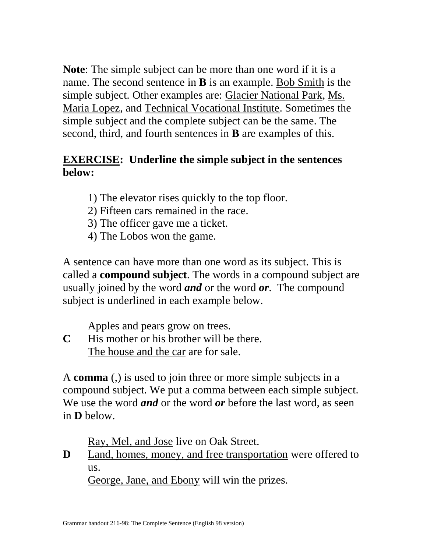**Note**: The simple subject can be more than one word if it is a name. The second sentence in **B** is an example. Bob Smith is the simple subject. Other examples are: Glacier National Park, Ms. Maria Lopez, and Technical Vocational Institute. Sometimes the simple subject and the complete subject can be the same. The second, third, and fourth sentences in **B** are examples of this.

#### **EXERCISE: Underline the simple subject in the sentences below:**

- 1) The elevator rises quickly to the top floor.
- 2) Fifteen cars remained in the race.
- 3) The officer gave me a ticket.
- 4) The Lobos won the game.

A sentence can have more than one word as its subject. This is called a **compound subject**. The words in a compound subject are usually joined by the word *and* or the word *or*. The compound subject is underlined in each example below.

Apples and pears grow on trees.

**C** His mother or his brother will be there. The house and the car are for sale.

A **comma** (,) is used to join three or more simple subjects in a compound subject. We put a comma between each simple subject. We use the word *and* or the word *or* before the last word, as seen in **D** below.

Ray, Mel, and Jose live on Oak Street.

**D** Land, homes, money, and free transportation were offered to us.

George, Jane, and Ebony will win the prizes.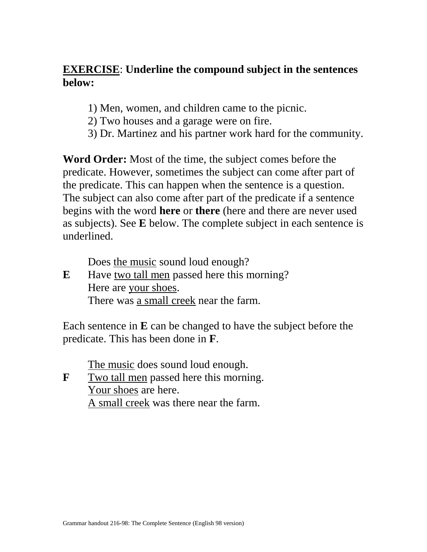#### **EXERCISE**: **Underline the compound subject in the sentences below:**

- 1) Men, women, and children came to the picnic.
- 2) Two houses and a garage were on fire.
- 3) Dr. Martinez and his partner work hard for the community.

**Word Order:** Most of the time, the subject comes before the predicate. However, sometimes the subject can come after part of the predicate. This can happen when the sentence is a question. The subject can also come after part of the predicate if a sentence begins with the word **here** or **there** (here and there are never used as subjects). See **E** below. The complete subject in each sentence is underlined.

Does the music sound loud enough?

**E** Have two tall men passed here this morning? Here are your shoes. There was a small creek near the farm.

Each sentence in **E** can be changed to have the subject before the predicate. This has been done in **F**.

The music does sound loud enough.

**F** Two tall men passed here this morning. Your shoes are here. A small creek was there near the farm.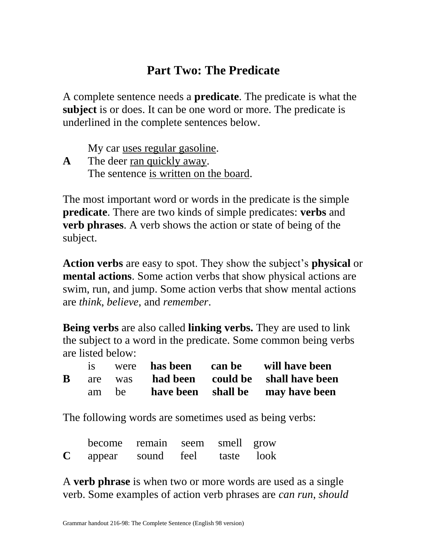## **Part Two: The Predicate**

A complete sentence needs a **predicate**. The predicate is what the **subject** is or does. It can be one word or more. The predicate is underlined in the complete sentences below.

My car uses regular gasoline.

**A** The deer ran quickly away. The sentence is written on the board.

The most important word or words in the predicate is the simple **predicate**. There are two kinds of simple predicates: **verbs** and **verb phrases**. A verb shows the action or state of being of the subject.

**Action verbs** are easy to spot. They show the subject's **physical** or **mental actions**. Some action verbs that show physical actions are swim, run, and jump. Some action verbs that show mental actions are *think*, *believe*, and *remember*.

**Being verbs** are also called **linking verbs.** They are used to link the subject to a word in the predicate. Some common being verbs are listed below:

|          |       |  | were has been can be will have been       |
|----------|-------|--|-------------------------------------------|
| $\bf{B}$ |       |  | are was had been could be shall have been |
|          | am be |  | have been shall be may have been          |

The following words are sometimes used as being verbs:

|             | become remain seem smell grow |            |            |  |
|-------------|-------------------------------|------------|------------|--|
| $\mathbf C$ | appear                        | sound feel | taste look |  |

A **verb phrase** is when two or more words are used as a single verb. Some examples of action verb phrases are *can run*, *should*